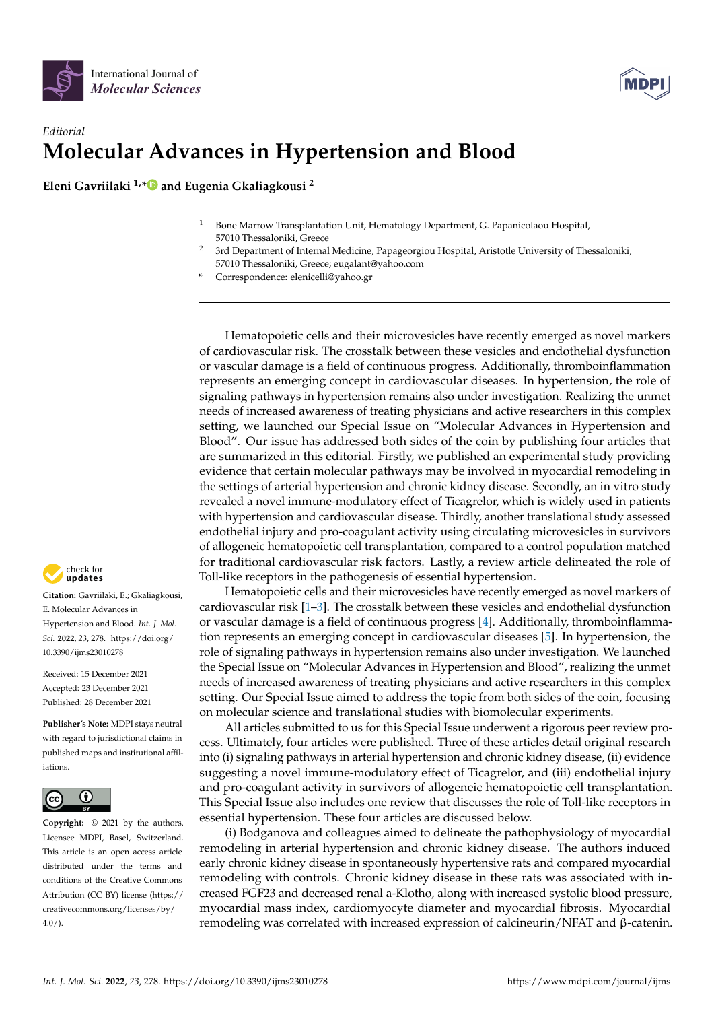



## *Editorial* **Molecular Advances in Hypertension and Blood**

**Eleni Gavriilaki 1,[\\*](https://orcid.org/0000-0002-8883-8208) and Eugenia Gkaliagkousi <sup>2</sup>**

- <sup>1</sup> Bone Marrow Transplantation Unit, Hematology Department, G. Papanicolaou Hospital, 57010 Thessaloniki, Greece
- <sup>2</sup> 3rd Department of Internal Medicine, Papageorgiou Hospital, Aristotle University of Thessaloniki, 57010 Thessaloniki, Greece; eugalant@yahoo.com
- **\*** Correspondence: elenicelli@yahoo.gr

Hematopoietic cells and their microvesicles have recently emerged as novel markers of cardiovascular risk. The crosstalk between these vesicles and endothelial dysfunction or vascular damage is a field of continuous progress. Additionally, thromboinflammation represents an emerging concept in cardiovascular diseases. In hypertension, the role of signaling pathways in hypertension remains also under investigation. Realizing the unmet needs of increased awareness of treating physicians and active researchers in this complex setting, we launched our Special Issue on "Molecular Advances in Hypertension and Blood". Our issue has addressed both sides of the coin by publishing four articles that are summarized in this editorial. Firstly, we published an experimental study providing evidence that certain molecular pathways may be involved in myocardial remodeling in the settings of arterial hypertension and chronic kidney disease. Secondly, an in vitro study revealed a novel immune-modulatory effect of Ticagrelor, which is widely used in patients with hypertension and cardiovascular disease. Thirdly, another translational study assessed endothelial injury and pro-coagulant activity using circulating microvesicles in survivors of allogeneic hematopoietic cell transplantation, compared to a control population matched for traditional cardiovascular risk factors. Lastly, a review article delineated the role of Toll-like receptors in the pathogenesis of essential hypertension.

Hematopoietic cells and their microvesicles have recently emerged as novel markers of cardiovascular risk [\[1](#page-1-0)[–3\]](#page-1-1). The crosstalk between these vesicles and endothelial dysfunction or vascular damage is a field of continuous progress [\[4\]](#page-1-2). Additionally, thromboinflammation represents an emerging concept in cardiovascular diseases [\[5\]](#page-1-3). In hypertension, the role of signaling pathways in hypertension remains also under investigation. We launched the Special Issue on "Molecular Advances in Hypertension and Blood", realizing the unmet needs of increased awareness of treating physicians and active researchers in this complex setting. Our Special Issue aimed to address the topic from both sides of the coin, focusing on molecular science and translational studies with biomolecular experiments.

All articles submitted to us for this Special Issue underwent a rigorous peer review process. Ultimately, four articles were published. Three of these articles detail original research into (i) signaling pathways in arterial hypertension and chronic kidney disease, (ii) evidence suggesting a novel immune-modulatory effect of Ticagrelor, and (iii) endothelial injury and pro-coagulant activity in survivors of allogeneic hematopoietic cell transplantation. This Special Issue also includes one review that discusses the role of Toll-like receptors in essential hypertension. These four articles are discussed below.

(i) Bodganova and colleagues aimed to delineate the pathophysiology of myocardial remodeling in arterial hypertension and chronic kidney disease. The authors induced early chronic kidney disease in spontaneously hypertensive rats and compared myocardial remodeling with controls. Chronic kidney disease in these rats was associated with increased FGF23 and decreased renal a-Klotho, along with increased systolic blood pressure, myocardial mass index, cardiomyocyte diameter and myocardial fibrosis. Myocardial remodeling was correlated with increased expression of calcineurin/NFAT and β-catenin.



**Citation:** Gavriilaki, E.; Gkaliagkousi, E. Molecular Advances in Hypertension and Blood. *Int. J. Mol. Sci.* **2022**, *23*, 278. [https://doi.org/](https://doi.org/10.3390/ijms23010278) [10.3390/ijms23010278](https://doi.org/10.3390/ijms23010278)

Received: 15 December 2021 Accepted: 23 December 2021 Published: 28 December 2021

**Publisher's Note:** MDPI stays neutral with regard to jurisdictional claims in published maps and institutional affiliations.



**Copyright:** © 2021 by the authors. Licensee MDPI, Basel, Switzerland. This article is an open access article distributed under the terms and conditions of the Creative Commons Attribution (CC BY) license [\(https://](https://creativecommons.org/licenses/by/4.0/) [creativecommons.org/licenses/by/](https://creativecommons.org/licenses/by/4.0/)  $4.0/$ ).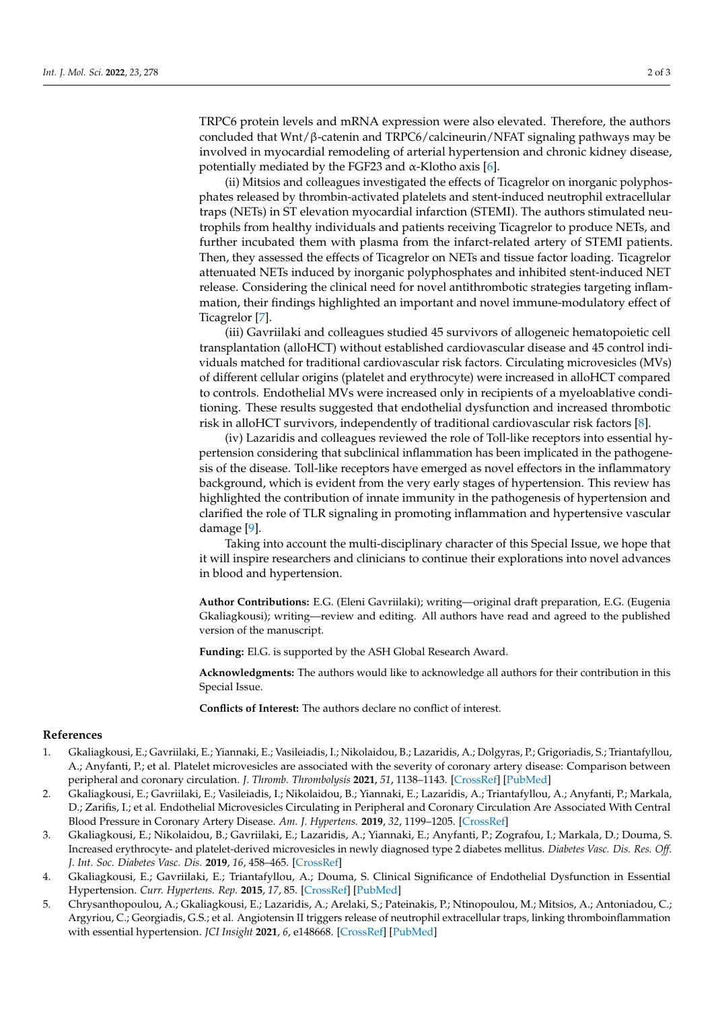TRPC6 protein levels and mRNA expression were also elevated. Therefore, the authors concluded that  $Wnt/\beta$ -catenin and TRPC6/calcineurin/NFAT signaling pathways may be involved in myocardial remodeling of arterial hypertension and chronic kidney disease, potentially mediated by the FGF23 and α-Klotho axis [\[6\]](#page-2-0).

(ii) Mitsios and colleagues investigated the effects of Ticagrelor on inorganic polyphosphates released by thrombin-activated platelets and stent-induced neutrophil extracellular traps (NETs) in ST elevation myocardial infarction (STEMI). The authors stimulated neutrophils from healthy individuals and patients receiving Ticagrelor to produce NETs, and further incubated them with plasma from the infarct-related artery of STEMI patients. Then, they assessed the effects of Ticagrelor on NETs and tissue factor loading. Ticagrelor attenuated NETs induced by inorganic polyphosphates and inhibited stent-induced NET release. Considering the clinical need for novel antithrombotic strategies targeting inflammation, their findings highlighted an important and novel immune-modulatory effect of Ticagrelor [\[7\]](#page-2-1).

(iii) Gavriilaki and colleagues studied 45 survivors of allogeneic hematopoietic cell transplantation (alloHCT) without established cardiovascular disease and 45 control individuals matched for traditional cardiovascular risk factors. Circulating microvesicles (MVs) of different cellular origins (platelet and erythrocyte) were increased in alloHCT compared to controls. Endothelial MVs were increased only in recipients of a myeloablative conditioning. These results suggested that endothelial dysfunction and increased thrombotic risk in alloHCT survivors, independently of traditional cardiovascular risk factors [\[8\]](#page-2-2).

(iv) Lazaridis and colleagues reviewed the role of Toll-like receptors into essential hypertension considering that subclinical inflammation has been implicated in the pathogenesis of the disease. Toll-like receptors have emerged as novel effectors in the inflammatory background, which is evident from the very early stages of hypertension. This review has highlighted the contribution of innate immunity in the pathogenesis of hypertension and clarified the role of TLR signaling in promoting inflammation and hypertensive vascular damage [\[9\]](#page-2-3).

Taking into account the multi-disciplinary character of this Special Issue, we hope that it will inspire researchers and clinicians to continue their explorations into novel advances in blood and hypertension.

**Author Contributions:** E.G. (Eleni Gavriilaki); writing—original draft preparation, E.G. (Eugenia Gkaliagkousi); writing—review and editing. All authors have read and agreed to the published version of the manuscript.

**Funding:** El.G. is supported by the ASH Global Research Award.

**Acknowledgments:** The authors would like to acknowledge all authors for their contribution in this Special Issue.

**Conflicts of Interest:** The authors declare no conflict of interest.

## **References**

- <span id="page-1-0"></span>1. Gkaliagkousi, E.; Gavriilaki, E.; Yiannaki, E.; Vasileiadis, I.; Nikolaidou, B.; Lazaridis, A.; Dolgyras, P.; Grigoriadis, S.; Triantafyllou, A.; Anyfanti, P.; et al. Platelet microvesicles are associated with the severity of coronary artery disease: Comparison between peripheral and coronary circulation. *J. Thromb. Thrombolysis* **2021**, *51*, 1138–1143. [\[CrossRef\]](http://doi.org/10.1007/s11239-020-02302-5) [\[PubMed\]](http://www.ncbi.nlm.nih.gov/pubmed/33043416)
- 2. Gkaliagkousi, E.; Gavriilaki, E.; Vasileiadis, I.; Nikolaidou, B.; Yiannaki, E.; Lazaridis, A.; Triantafyllou, A.; Anyfanti, P.; Markala, D.; Zarifis, I.; et al. Endothelial Microvesicles Circulating in Peripheral and Coronary Circulation Are Associated With Central Blood Pressure in Coronary Artery Disease. *Am. J. Hypertens.* **2019**, *32*, 1199–1205. [\[CrossRef\]](http://doi.org/10.1093/ajh/hpz116)
- <span id="page-1-1"></span>3. Gkaliagkousi, E.; Nikolaidou, B.; Gavriilaki, E.; Lazaridis, A.; Yiannaki, E.; Anyfanti, P.; Zografou, I.; Markala, D.; Douma, S. Increased erythrocyte- and platelet-derived microvesicles in newly diagnosed type 2 diabetes mellitus. *Diabetes Vasc. Dis. Res. Off. J. Int. Soc. Diabetes Vasc. Dis.* **2019**, *16*, 458–465. [\[CrossRef\]](http://doi.org/10.1177/1479164119844691)
- <span id="page-1-2"></span>4. Gkaliagkousi, E.; Gavriilaki, E.; Triantafyllou, A.; Douma, S. Clinical Significance of Endothelial Dysfunction in Essential Hypertension. *Curr. Hypertens. Rep.* **2015**, *17*, 85. [\[CrossRef\]](http://doi.org/10.1007/s11906-015-0596-3) [\[PubMed\]](http://www.ncbi.nlm.nih.gov/pubmed/26371063)
- <span id="page-1-3"></span>5. Chrysanthopoulou, A.; Gkaliagkousi, E.; Lazaridis, A.; Arelaki, S.; Pateinakis, P.; Ntinopoulou, M.; Mitsios, A.; Antoniadou, C.; Argyriou, C.; Georgiadis, G.S.; et al. Angiotensin II triggers release of neutrophil extracellular traps, linking thromboinflammation with essential hypertension. *JCI Insight* **2021**, *6*, e148668. [\[CrossRef\]](http://doi.org/10.1172/jci.insight.148668) [\[PubMed\]](http://www.ncbi.nlm.nih.gov/pubmed/34324440)